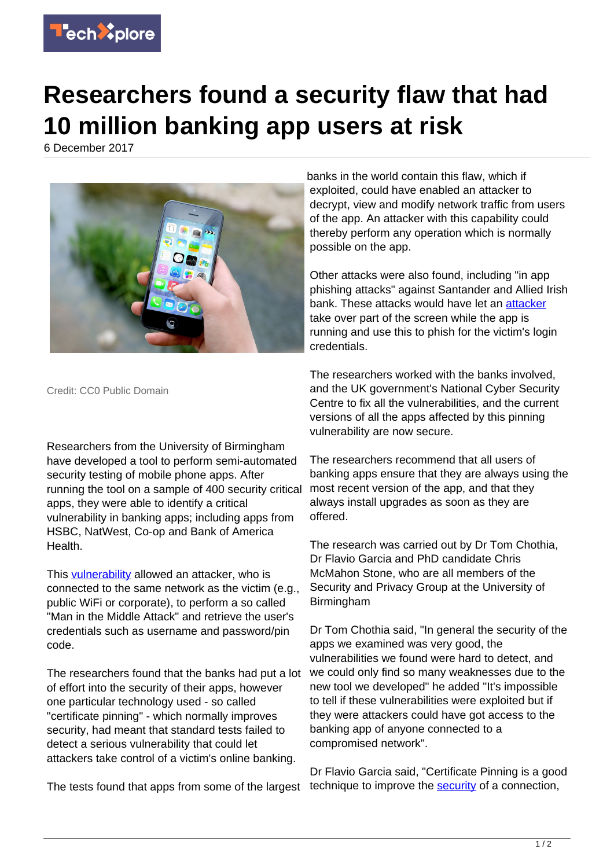

## **Researchers found a security flaw that had 10 million banking app users at risk**

6 December 2017



Credit: CC0 Public Domain

Researchers from the University of Birmingham have developed a tool to perform semi-automated security testing of mobile phone apps. After running the tool on a sample of 400 security critical apps, they were able to identify a critical vulnerability in banking apps; including apps from HSBC, NatWest, Co-op and Bank of America Health.

This [vulnerability](https://techxplore.com/tags/vulnerability/) allowed an attacker, who is connected to the same network as the victim (e.g., public WiFi or corporate), to perform a so called "Man in the Middle Attack" and retrieve the user's credentials such as username and password/pin code.

The researchers found that the banks had put a lot of effort into the security of their apps, however one particular technology used - so called "certificate pinning" - which normally improves security, had meant that standard tests failed to detect a serious vulnerability that could let attackers take control of a victim's online banking.

The tests found that apps from some of the largest

banks in the world contain this flaw, which if exploited, could have enabled an attacker to decrypt, view and modify network traffic from users of the app. An attacker with this capability could thereby perform any operation which is normally possible on the app.

Other attacks were also found, including "in app phishing attacks" against Santander and Allied Irish bank. These attacks would have let an [attacker](https://techxplore.com/tags/attacker/) take over part of the screen while the app is running and use this to phish for the victim's login credentials.

The researchers worked with the banks involved, and the UK government's National Cyber Security Centre to fix all the vulnerabilities, and the current versions of all the apps affected by this pinning vulnerability are now secure.

The researchers recommend that all users of banking apps ensure that they are always using the most recent version of the app, and that they always install upgrades as soon as they are offered.

The research was carried out by Dr Tom Chothia, Dr Flavio Garcia and PhD candidate Chris McMahon Stone, who are all members of the Security and Privacy Group at the University of Birmingham

Dr Tom Chothia said, "In general the security of the apps we examined was very good, the vulnerabilities we found were hard to detect, and we could only find so many weaknesses due to the new tool we developed" he added "It's impossible to tell if these vulnerabilities were exploited but if they were attackers could have got access to the banking app of anyone connected to a compromised network".

Dr Flavio Garcia said, "Certificate Pinning is a good technique to improve the [security](https://techxplore.com/tags/security/) of a connection,